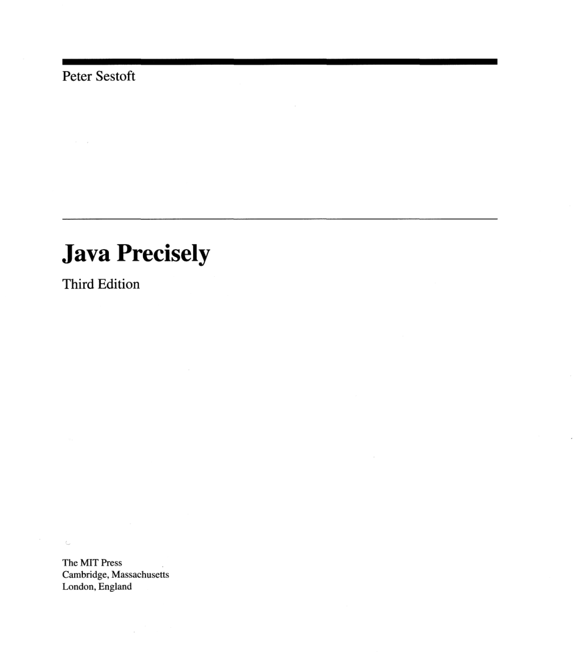Peter Sestoft

## **Java Precisely**

Third Edition

The MIT Press Cambridge, Massachusetts London, England

 $\subset$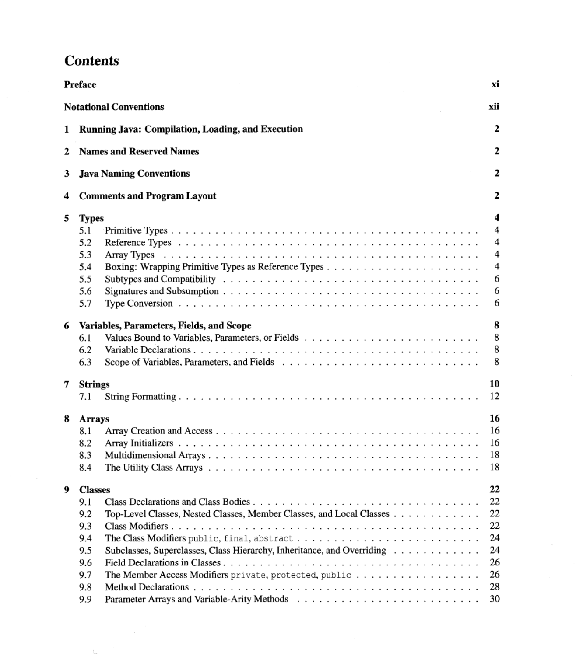## **Contents**

|   | Preface                                                                                                                                                                                                                                                                                                                                  | хi                                                                      |
|---|------------------------------------------------------------------------------------------------------------------------------------------------------------------------------------------------------------------------------------------------------------------------------------------------------------------------------------------|-------------------------------------------------------------------------|
|   | <b>Notational Conventions</b>                                                                                                                                                                                                                                                                                                            | xii                                                                     |
| 1 | Running Java: Compilation, Loading, and Execution                                                                                                                                                                                                                                                                                        | 2                                                                       |
| 2 | <b>Names and Reserved Names</b>                                                                                                                                                                                                                                                                                                          | $\mathbf{2}$                                                            |
| 3 | <b>Java Naming Conventions</b>                                                                                                                                                                                                                                                                                                           | 2                                                                       |
| 4 | <b>Comments and Program Layout</b>                                                                                                                                                                                                                                                                                                       | 2                                                                       |
| 5 | <b>Types</b><br>5.1<br>5.2<br>5.3<br>5.4<br>5.5<br>5.6<br>5.7                                                                                                                                                                                                                                                                            | 4<br>4<br>$\overline{4}$<br>$\overline{\mathbf{4}}$<br>4<br>6<br>6<br>6 |
| 6 | Variables, Parameters, Fields, and Scope<br>6.1<br>6.2<br>6.3                                                                                                                                                                                                                                                                            | 8<br>8<br>8<br>8                                                        |
| 7 | <b>Strings</b><br>7.1                                                                                                                                                                                                                                                                                                                    | 10<br>12                                                                |
| 8 | <b>Arrays</b><br>8.1<br>8.2<br>8.3<br>8.4<br>The Utility Class Arrays $\ldots \ldots \ldots \ldots \ldots \ldots \ldots \ldots \ldots \ldots \ldots \ldots \ldots$                                                                                                                                                                       | 16<br>16<br>16<br>18<br>18                                              |
| 9 | <b>Classes</b><br>9.1<br>Top-Level Classes, Nested Classes, Member Classes, and Local Classes<br>9.2<br>9.3<br>9.4<br>The Class Modifiers public, final, abstract<br>Subclasses, Superclasses, Class Hierarchy, Inheritance, and Overriding<br>9.5<br>9.6<br>The Member Access Modifiers private, protected, public<br>9.7<br>9.8<br>9.9 | 22<br>22<br>22<br>22<br>24<br>24<br>26<br>26<br>28<br>30                |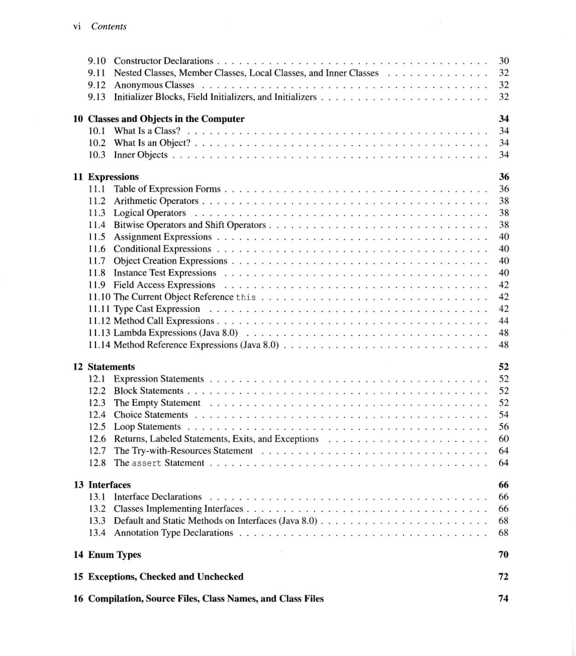| 9.10.                |                                                                  | 30       |  |  |
|----------------------|------------------------------------------------------------------|----------|--|--|
| 9.11                 | Nested Classes, Member Classes, Local Classes, and Inner Classes | 32       |  |  |
| 9.12                 |                                                                  | 32       |  |  |
| 9.13                 |                                                                  | 32       |  |  |
|                      |                                                                  |          |  |  |
|                      | 10 Classes and Objects in the Computer                           | 34       |  |  |
|                      |                                                                  | 34       |  |  |
|                      |                                                                  | 34       |  |  |
|                      |                                                                  | 34       |  |  |
|                      |                                                                  | 36       |  |  |
| 11.1                 | 11 Expressions                                                   | 36       |  |  |
| 11.2                 |                                                                  | 38       |  |  |
|                      |                                                                  | 38       |  |  |
|                      |                                                                  | 38       |  |  |
|                      |                                                                  |          |  |  |
| 11.5                 |                                                                  | 40       |  |  |
|                      |                                                                  | 40       |  |  |
|                      |                                                                  | 40       |  |  |
|                      |                                                                  | 40       |  |  |
|                      |                                                                  | 42       |  |  |
|                      |                                                                  | 42       |  |  |
|                      |                                                                  | 42       |  |  |
|                      |                                                                  | 44       |  |  |
|                      |                                                                  | 48       |  |  |
|                      |                                                                  | 48       |  |  |
| <b>12 Statements</b> |                                                                  | 52       |  |  |
| 12.1                 |                                                                  | 52       |  |  |
|                      |                                                                  | 52       |  |  |
|                      |                                                                  | 52       |  |  |
| 12.3                 |                                                                  |          |  |  |
| 12.4                 |                                                                  | 54       |  |  |
| 12.5                 |                                                                  | 56       |  |  |
| 12.6                 |                                                                  | 60       |  |  |
| 12.7                 |                                                                  | 64       |  |  |
| 12.8                 |                                                                  | 64       |  |  |
| 13 Interfaces        |                                                                  |          |  |  |
| 13.1                 |                                                                  | 66<br>66 |  |  |
|                      |                                                                  | 66       |  |  |
|                      |                                                                  | 68       |  |  |
|                      |                                                                  |          |  |  |
|                      |                                                                  | 68       |  |  |
|                      | 14 Enum Types                                                    | 70       |  |  |
|                      | 15 Exceptions, Checked and Unchecked                             | 72       |  |  |
|                      |                                                                  |          |  |  |
|                      | 16 Compilation, Source Files, Class Names, and Class Files       | 74       |  |  |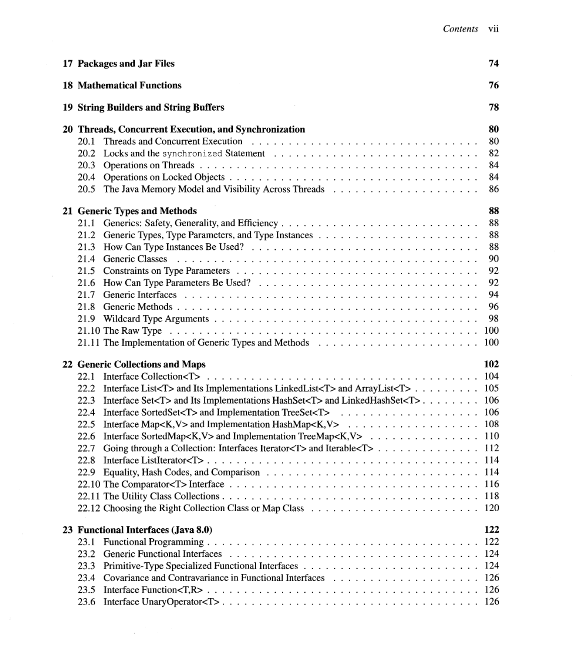| 17 Packages and Jar Files                                                                  | 74  |  |  |
|--------------------------------------------------------------------------------------------|-----|--|--|
| <b>18 Mathematical Functions</b>                                                           | 76  |  |  |
| 19 String Builders and String Buffers                                                      |     |  |  |
| 20 Threads, Concurrent Execution, and Synchronization                                      | 80  |  |  |
| 20.1                                                                                       | 80  |  |  |
| 20.2                                                                                       | 82  |  |  |
| 20.3                                                                                       | 84  |  |  |
| 20.4                                                                                       | 84  |  |  |
|                                                                                            | 86  |  |  |
| 21 Generic Types and Methods                                                               | 88  |  |  |
|                                                                                            | 88  |  |  |
|                                                                                            | 88  |  |  |
| 21.3                                                                                       | 88  |  |  |
| 21.4                                                                                       | 90  |  |  |
|                                                                                            | 92  |  |  |
|                                                                                            | 92  |  |  |
| 21.7                                                                                       | 94  |  |  |
| 21.8                                                                                       | 96  |  |  |
|                                                                                            | 98  |  |  |
|                                                                                            | 100 |  |  |
|                                                                                            | 100 |  |  |
|                                                                                            |     |  |  |
| 22 Generic Collections and Maps                                                            | 102 |  |  |
| 22.1                                                                                       | 104 |  |  |
| 22.2 Interface List <t> and Its Implementations LinkedList<t> and ArrayList<t></t></t></t> | 105 |  |  |
| 22.3 Interface Set <t> and Its Implementations HashSet<t> and LinkedHashSet<t></t></t></t> | 106 |  |  |
|                                                                                            | 106 |  |  |
|                                                                                            |     |  |  |
| Interface SortedMap <k,v> and Implementation TreeMap<k,v> 110<br/>22.6</k,v></k,v>         |     |  |  |
| Going through a Collection: Interfaces Iterator <t> and Iterable<t> 112<br/>22.7</t></t>   |     |  |  |
| 22.8                                                                                       |     |  |  |
|                                                                                            |     |  |  |
|                                                                                            |     |  |  |
|                                                                                            |     |  |  |
|                                                                                            |     |  |  |
|                                                                                            |     |  |  |
| 23 Functional Interfaces (Java 8.0)                                                        | 122 |  |  |
| 23.1                                                                                       | 122 |  |  |
| 23.2                                                                                       | 124 |  |  |
| 23.3                                                                                       | 124 |  |  |
| 23.4                                                                                       |     |  |  |
| 23.5                                                                                       | 126 |  |  |
| 23.6                                                                                       |     |  |  |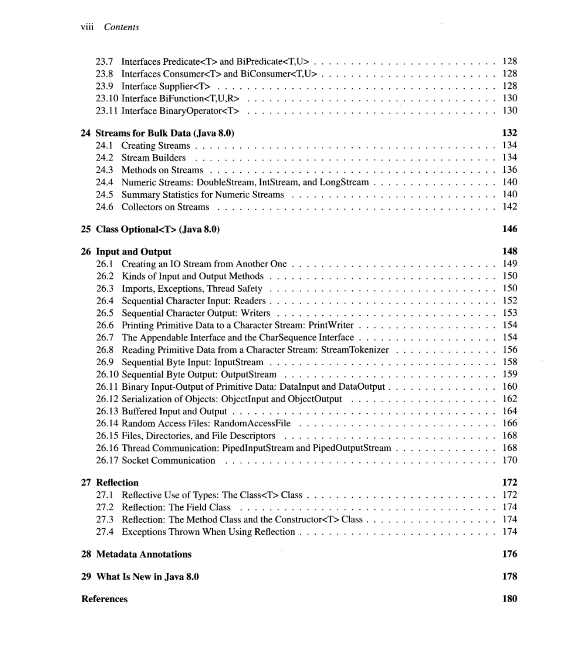| 132<br>24 Streams for Bulk Data (Java 8.0)<br>24.4 Numeric Streams: DoubleStream, IntStream, and LongStream 140<br>24.5<br>146<br>25 Class Optional <t> (Java 8.0)<br/>26 Input and Output<br/>148<br/>26.3<br/>26.4<br/>26.5<br/>26.7<br/>Reading Primitive Data from a Character Stream: StreamTokenizer 156<br/>26.8<br/>26.11 Binary Input-Output of Primitive Data: DataInput and DataOutput 160<br/>26.16 Thread Communication: PipedInputStream and PipedOutputStream 168<br/>27 Reflection<br/>172<br/>174<br/>28 Metadata Annotations<br/>176<br/>29 What Is New in Java 8.0<br/>178<br/><b>References</b><br/>180</t> |  |  |  |  |  |
|---------------------------------------------------------------------------------------------------------------------------------------------------------------------------------------------------------------------------------------------------------------------------------------------------------------------------------------------------------------------------------------------------------------------------------------------------------------------------------------------------------------------------------------------------------------------------------------------------------------------------------|--|--|--|--|--|
|                                                                                                                                                                                                                                                                                                                                                                                                                                                                                                                                                                                                                                 |  |  |  |  |  |
|                                                                                                                                                                                                                                                                                                                                                                                                                                                                                                                                                                                                                                 |  |  |  |  |  |
|                                                                                                                                                                                                                                                                                                                                                                                                                                                                                                                                                                                                                                 |  |  |  |  |  |
|                                                                                                                                                                                                                                                                                                                                                                                                                                                                                                                                                                                                                                 |  |  |  |  |  |
|                                                                                                                                                                                                                                                                                                                                                                                                                                                                                                                                                                                                                                 |  |  |  |  |  |
|                                                                                                                                                                                                                                                                                                                                                                                                                                                                                                                                                                                                                                 |  |  |  |  |  |
|                                                                                                                                                                                                                                                                                                                                                                                                                                                                                                                                                                                                                                 |  |  |  |  |  |
|                                                                                                                                                                                                                                                                                                                                                                                                                                                                                                                                                                                                                                 |  |  |  |  |  |
|                                                                                                                                                                                                                                                                                                                                                                                                                                                                                                                                                                                                                                 |  |  |  |  |  |
|                                                                                                                                                                                                                                                                                                                                                                                                                                                                                                                                                                                                                                 |  |  |  |  |  |
|                                                                                                                                                                                                                                                                                                                                                                                                                                                                                                                                                                                                                                 |  |  |  |  |  |
|                                                                                                                                                                                                                                                                                                                                                                                                                                                                                                                                                                                                                                 |  |  |  |  |  |
|                                                                                                                                                                                                                                                                                                                                                                                                                                                                                                                                                                                                                                 |  |  |  |  |  |
|                                                                                                                                                                                                                                                                                                                                                                                                                                                                                                                                                                                                                                 |  |  |  |  |  |
|                                                                                                                                                                                                                                                                                                                                                                                                                                                                                                                                                                                                                                 |  |  |  |  |  |
|                                                                                                                                                                                                                                                                                                                                                                                                                                                                                                                                                                                                                                 |  |  |  |  |  |
|                                                                                                                                                                                                                                                                                                                                                                                                                                                                                                                                                                                                                                 |  |  |  |  |  |
|                                                                                                                                                                                                                                                                                                                                                                                                                                                                                                                                                                                                                                 |  |  |  |  |  |
|                                                                                                                                                                                                                                                                                                                                                                                                                                                                                                                                                                                                                                 |  |  |  |  |  |
|                                                                                                                                                                                                                                                                                                                                                                                                                                                                                                                                                                                                                                 |  |  |  |  |  |
|                                                                                                                                                                                                                                                                                                                                                                                                                                                                                                                                                                                                                                 |  |  |  |  |  |
|                                                                                                                                                                                                                                                                                                                                                                                                                                                                                                                                                                                                                                 |  |  |  |  |  |
|                                                                                                                                                                                                                                                                                                                                                                                                                                                                                                                                                                                                                                 |  |  |  |  |  |
|                                                                                                                                                                                                                                                                                                                                                                                                                                                                                                                                                                                                                                 |  |  |  |  |  |
|                                                                                                                                                                                                                                                                                                                                                                                                                                                                                                                                                                                                                                 |  |  |  |  |  |
|                                                                                                                                                                                                                                                                                                                                                                                                                                                                                                                                                                                                                                 |  |  |  |  |  |
|                                                                                                                                                                                                                                                                                                                                                                                                                                                                                                                                                                                                                                 |  |  |  |  |  |
|                                                                                                                                                                                                                                                                                                                                                                                                                                                                                                                                                                                                                                 |  |  |  |  |  |
|                                                                                                                                                                                                                                                                                                                                                                                                                                                                                                                                                                                                                                 |  |  |  |  |  |
|                                                                                                                                                                                                                                                                                                                                                                                                                                                                                                                                                                                                                                 |  |  |  |  |  |
|                                                                                                                                                                                                                                                                                                                                                                                                                                                                                                                                                                                                                                 |  |  |  |  |  |
|                                                                                                                                                                                                                                                                                                                                                                                                                                                                                                                                                                                                                                 |  |  |  |  |  |
|                                                                                                                                                                                                                                                                                                                                                                                                                                                                                                                                                                                                                                 |  |  |  |  |  |
|                                                                                                                                                                                                                                                                                                                                                                                                                                                                                                                                                                                                                                 |  |  |  |  |  |
|                                                                                                                                                                                                                                                                                                                                                                                                                                                                                                                                                                                                                                 |  |  |  |  |  |
|                                                                                                                                                                                                                                                                                                                                                                                                                                                                                                                                                                                                                                 |  |  |  |  |  |
|                                                                                                                                                                                                                                                                                                                                                                                                                                                                                                                                                                                                                                 |  |  |  |  |  |
|                                                                                                                                                                                                                                                                                                                                                                                                                                                                                                                                                                                                                                 |  |  |  |  |  |

 $\sim$